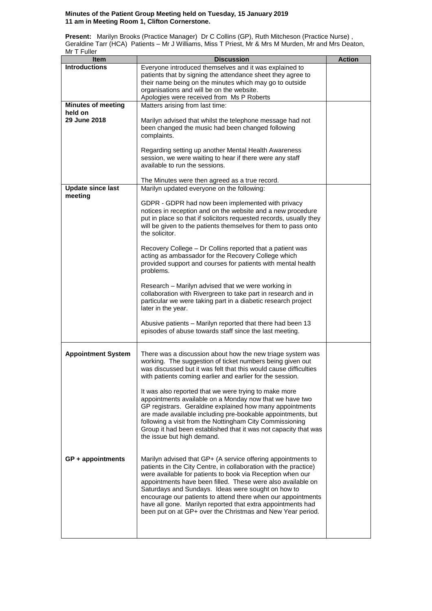## **Minutes of the Patient Group Meeting held on Tuesday, 15 January 2019 11 am in Meeting Room 1, Clifton Cornerstone.**

**Present:** Marilyn Brooks (Practice Manager) Dr C Collins (GP), Ruth Mitcheson (Practice Nurse) , Geraldine Tarr (HCA) Patients – Mr J Williams, Miss T Priest, Mr & Mrs M Murden, Mr and Mrs Deaton, Mr T Fuller

| וטווט ו וויו<br>Item      | <b>Discussion</b>                                                                                                           | <b>Action</b> |
|---------------------------|-----------------------------------------------------------------------------------------------------------------------------|---------------|
| <b>Introductions</b>      | Everyone introduced themselves and it was explained to                                                                      |               |
|                           | patients that by signing the attendance sheet they agree to                                                                 |               |
|                           | their name being on the minutes which may go to outside                                                                     |               |
|                           | organisations and will be on the website.                                                                                   |               |
|                           | Apologies were received from Ms P Roberts                                                                                   |               |
| <b>Minutes of meeting</b> | Matters arising from last time:                                                                                             |               |
| held on                   |                                                                                                                             |               |
| 29 June 2018              | Marilyn advised that whilst the telephone message had not                                                                   |               |
|                           | been changed the music had been changed following                                                                           |               |
|                           | complaints.                                                                                                                 |               |
|                           |                                                                                                                             |               |
|                           | Regarding setting up another Mental Health Awareness                                                                        |               |
|                           | session, we were waiting to hear if there were any staff                                                                    |               |
|                           | available to run the sessions.                                                                                              |               |
|                           |                                                                                                                             |               |
|                           | The Minutes were then agreed as a true record.                                                                              |               |
| <b>Update since last</b>  | Marilyn updated everyone on the following:                                                                                  |               |
| meeting                   |                                                                                                                             |               |
|                           | GDPR - GDPR had now been implemented with privacy                                                                           |               |
|                           | notices in reception and on the website and a new procedure                                                                 |               |
|                           | put in place so that if solicitors requested records, usually they                                                          |               |
|                           | will be given to the patients themselves for them to pass onto                                                              |               |
|                           | the solicitor.                                                                                                              |               |
|                           |                                                                                                                             |               |
|                           | Recovery College - Dr Collins reported that a patient was                                                                   |               |
|                           | acting as ambassador for the Recovery College which                                                                         |               |
|                           | provided support and courses for patients with mental health                                                                |               |
|                           | problems.                                                                                                                   |               |
|                           |                                                                                                                             |               |
|                           | Research - Marilyn advised that we were working in                                                                          |               |
|                           | collaboration with Rivergreen to take part in research and in                                                               |               |
|                           | particular we were taking part in a diabetic research project                                                               |               |
|                           | later in the year.                                                                                                          |               |
|                           | Abusive patients - Marilyn reported that there had been 13                                                                  |               |
|                           | episodes of abuse towards staff since the last meeting.                                                                     |               |
|                           |                                                                                                                             |               |
|                           |                                                                                                                             |               |
| <b>Appointment System</b> | There was a discussion about how the new triage system was                                                                  |               |
|                           | working. The suggestion of ticket numbers being given out                                                                   |               |
|                           | was discussed but it was felt that this would cause difficulties                                                            |               |
|                           | with patients coming earlier and earlier for the session.                                                                   |               |
|                           |                                                                                                                             |               |
|                           | It was also reported that we were trying to make more                                                                       |               |
|                           | appointments available on a Monday now that we have two                                                                     |               |
|                           | GP registrars. Geraldine explained how many appointments                                                                    |               |
|                           | are made available including pre-bookable appointments, but                                                                 |               |
|                           | following a visit from the Nottingham City Commissioning                                                                    |               |
|                           | Group it had been established that it was not capacity that was                                                             |               |
|                           | the issue but high demand.                                                                                                  |               |
|                           |                                                                                                                             |               |
|                           |                                                                                                                             |               |
| $GP + appointments$       | Marilyn advised that GP+ (A service offering appointments to                                                                |               |
|                           | patients in the City Centre, in collaboration with the practice)                                                            |               |
|                           | were available for patients to book via Reception when our                                                                  |               |
|                           | appointments have been filled. These were also available on                                                                 |               |
|                           | Saturdays and Sundays. Ideas were sought on how to                                                                          |               |
|                           | encourage our patients to attend there when our appointments<br>have all gone. Marilyn reported that extra appointments had |               |
|                           | been put on at GP+ over the Christmas and New Year period.                                                                  |               |
|                           |                                                                                                                             |               |
|                           |                                                                                                                             |               |
|                           |                                                                                                                             |               |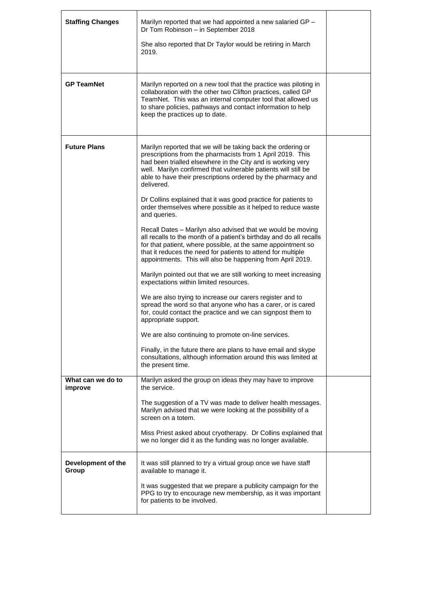| <b>Staffing Changes</b>      | Marilyn reported that we had appointed a new salaried GP -<br>Dr Tom Robinson - in September 2018<br>She also reported that Dr Taylor would be retiring in March<br>2019.                                                                                                                                                                                                                                                                                                                   |  |
|------------------------------|---------------------------------------------------------------------------------------------------------------------------------------------------------------------------------------------------------------------------------------------------------------------------------------------------------------------------------------------------------------------------------------------------------------------------------------------------------------------------------------------|--|
| <b>GP TeamNet</b>            | Marilyn reported on a new tool that the practice was piloting in<br>collaboration with the other two Clifton practices, called GP<br>TeamNet. This was an internal computer tool that allowed us<br>to share policies, pathways and contact information to help<br>keep the practices up to date.                                                                                                                                                                                           |  |
| <b>Future Plans</b>          | Marilyn reported that we will be taking back the ordering or<br>prescriptions from the pharmacists from 1 April 2019. This<br>had been trialled elsewhere in the City and is working very<br>well. Marilyn confirmed that vulnerable patients will still be<br>able to have their prescriptions ordered by the pharmacy and<br>delivered.<br>Dr Collins explained that it was good practice for patients to<br>order themselves where possible as it helped to reduce waste<br>and queries. |  |
|                              | Recall Dates – Marilyn also advised that we would be moving<br>all recalls to the month of a patient's birthday and do all recalls<br>for that patient, where possible, at the same appointment so<br>that it reduces the need for patients to attend for multiple<br>appointments. This will also be happening from April 2019.                                                                                                                                                            |  |
|                              | Marilyn pointed out that we are still working to meet increasing<br>expectations within limited resources.<br>We are also trying to increase our carers register and to                                                                                                                                                                                                                                                                                                                     |  |
|                              | spread the word so that anyone who has a carer, or is cared<br>for, could contact the practice and we can signpost them to<br>appropriate support.                                                                                                                                                                                                                                                                                                                                          |  |
|                              | We are also continuing to promote on-line services.                                                                                                                                                                                                                                                                                                                                                                                                                                         |  |
|                              | Finally, in the future there are plans to have email and skype<br>consultations, although information around this was limited at<br>the present time.                                                                                                                                                                                                                                                                                                                                       |  |
| What can we do to<br>improve | Marilyn asked the group on ideas they may have to improve<br>the service.                                                                                                                                                                                                                                                                                                                                                                                                                   |  |
|                              | The suggestion of a TV was made to deliver health messages.<br>Marilyn advised that we were looking at the possibility of a<br>screen on a totem.                                                                                                                                                                                                                                                                                                                                           |  |
|                              | Miss Priest asked about cryotherapy. Dr Collins explained that<br>we no longer did it as the funding was no longer available.                                                                                                                                                                                                                                                                                                                                                               |  |
| Development of the<br>Group  | It was still planned to try a virtual group once we have staff<br>available to manage it.                                                                                                                                                                                                                                                                                                                                                                                                   |  |
|                              | It was suggested that we prepare a publicity campaign for the<br>PPG to try to encourage new membership, as it was important<br>for patients to be involved.                                                                                                                                                                                                                                                                                                                                |  |